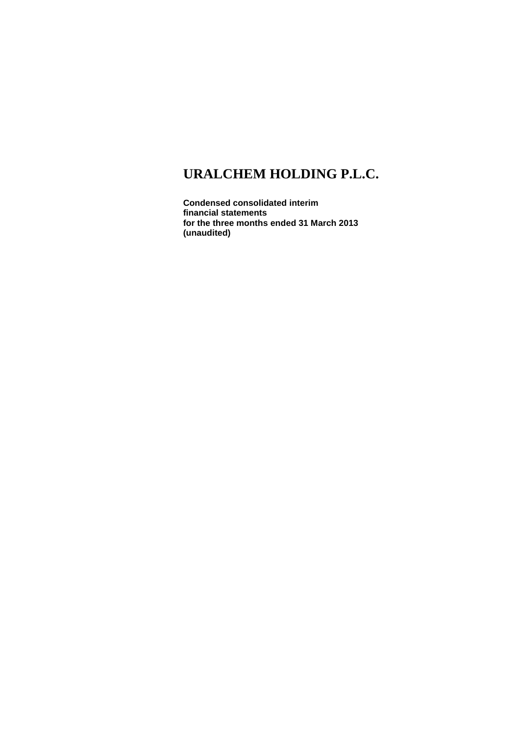**Condensed consolidated interim financial statements for the three months ended 31 March 2013 (unaudited)**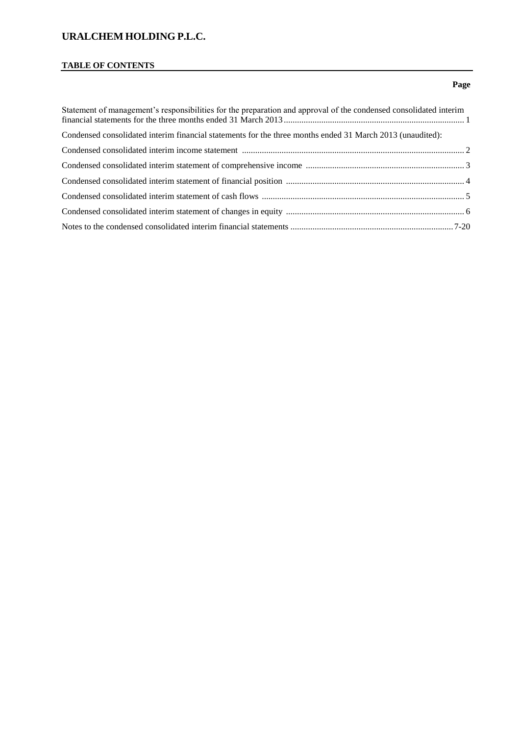# **TABLE OF CONTENTS**

### **Page**

| Statement of management's responsibilities for the preparation and approval of the condensed consolidated interim |  |
|-------------------------------------------------------------------------------------------------------------------|--|
| Condensed consolidated interim financial statements for the three months ended 31 March 2013 (unaudited):         |  |
|                                                                                                                   |  |
|                                                                                                                   |  |
|                                                                                                                   |  |
|                                                                                                                   |  |
|                                                                                                                   |  |
|                                                                                                                   |  |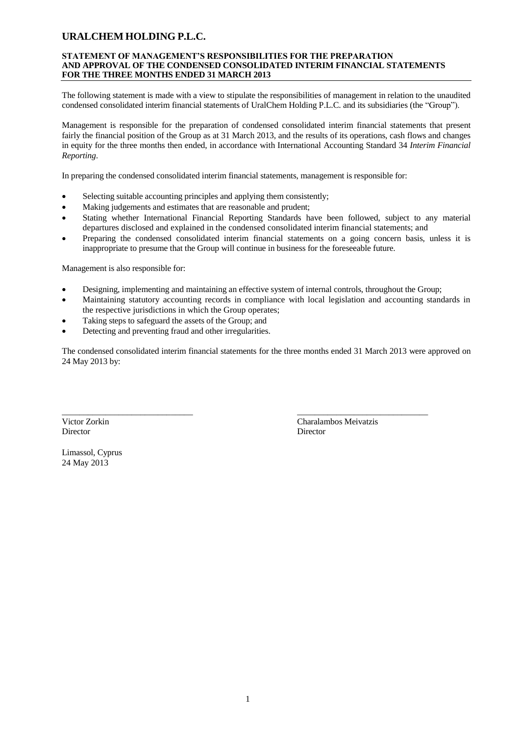#### **STATEMENT OF MANAGEMENT'S RESPONSIBILITIES FOR THE PREPARATION AND APPROVAL OF THE CONDENSED CONSOLIDATED INTERIM FINANCIAL STATEMENTS FOR THE THREE MONTHS ENDED 31 MARCH 2013**

The following statement is made with a view to stipulate the responsibilities of management in relation to the unaudited condensed consolidated interim financial statements of UralChem Holding P.L.C. and its subsidiaries (the "Group").

Management is responsible for the preparation of condensed consolidated interim financial statements that present fairly the financial position of the Group as at 31 March 2013, and the results of its operations, cash flows and changes in equity for the three months then ended, in accordance with International Accounting Standard 34 *Interim Financial Reporting*.

In preparing the condensed consolidated interim financial statements, management is responsible for:

- Selecting suitable accounting principles and applying them consistently;
- Making judgements and estimates that are reasonable and prudent;
- Stating whether International Financial Reporting Standards have been followed, subject to any material departures disclosed and explained in the condensed consolidated interim financial statements; and
- Preparing the condensed consolidated interim financial statements on a going concern basis, unless it is inappropriate to presume that the Group will continue in business for the foreseeable future.

Management is also responsible for:

Designing, implementing and maintaining an effective system of internal controls, throughout the Group;

 $\frac{1}{2}$  ,  $\frac{1}{2}$  ,  $\frac{1}{2}$  ,  $\frac{1}{2}$  ,  $\frac{1}{2}$  ,  $\frac{1}{2}$  ,  $\frac{1}{2}$  ,  $\frac{1}{2}$  ,  $\frac{1}{2}$  ,  $\frac{1}{2}$  ,  $\frac{1}{2}$  ,  $\frac{1}{2}$  ,  $\frac{1}{2}$  ,  $\frac{1}{2}$  ,  $\frac{1}{2}$  ,  $\frac{1}{2}$  ,  $\frac{1}{2}$  ,  $\frac{1}{2}$  ,  $\frac{1$ 

- Maintaining statutory accounting records in compliance with local legislation and accounting standards in the respective jurisdictions in which the Group operates;
- Taking steps to safeguard the assets of the Group; and
- Detecting and preventing fraud and other irregularities.

The condensed consolidated interim financial statements for the three months ended 31 March 2013 were approved on 24 May 2013 by:

Director Director

Victor Zorkin Charalambos Meivatzis

Limassol, Cyprus 24 May 2013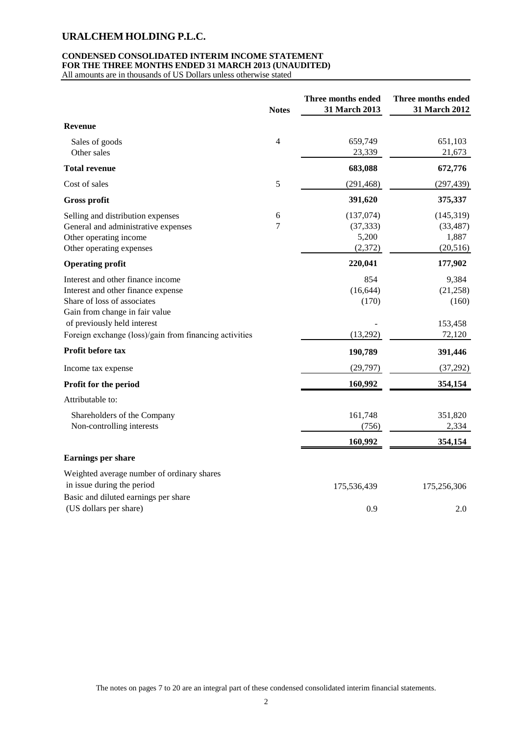#### **CONDENSED CONSOLIDATED INTERIM INCOME STATEMENT FOR THE THREE MONTHS ENDED 31 MARCH 2013 (UNAUDITED)**

All amounts are in thousands of US Dollars unless otherwise stated

|                                                                                                                                          | <b>Notes</b>   | Three months ended<br>31 March 2013        | Three months ended<br>31 March 2012           |
|------------------------------------------------------------------------------------------------------------------------------------------|----------------|--------------------------------------------|-----------------------------------------------|
| <b>Revenue</b>                                                                                                                           |                |                                            |                                               |
| Sales of goods<br>Other sales                                                                                                            | $\overline{4}$ | 659,749<br>23,339                          | 651,103<br>21,673                             |
| <b>Total revenue</b>                                                                                                                     |                | 683,088                                    | 672,776                                       |
| Cost of sales                                                                                                                            | 5              | (291, 468)                                 | (297, 439)                                    |
| <b>Gross profit</b>                                                                                                                      |                | 391,620                                    | 375,337                                       |
| Selling and distribution expenses<br>General and administrative expenses<br>Other operating income<br>Other operating expenses           | 6<br>7         | (137,074)<br>(37, 333)<br>5,200<br>(2,372) | (145, 319)<br>(33, 487)<br>1,887<br>(20, 516) |
| <b>Operating profit</b>                                                                                                                  |                | 220,041                                    | 177,902                                       |
| Interest and other finance income<br>Interest and other finance expense<br>Share of loss of associates<br>Gain from change in fair value |                | 854<br>(16, 644)<br>(170)                  | 9,384<br>(21,258)<br>(160)                    |
| of previously held interest<br>Foreign exchange (loss)/gain from financing activities                                                    |                | (13,292)                                   | 153,458<br>72,120                             |
| Profit before tax                                                                                                                        |                | 190,789                                    | 391,446                                       |
| Income tax expense                                                                                                                       |                | (29,797)                                   | (37,292)                                      |
| Profit for the period                                                                                                                    |                | 160,992                                    | 354,154                                       |
| Attributable to:                                                                                                                         |                |                                            |                                               |
| Shareholders of the Company<br>Non-controlling interests                                                                                 |                | 161,748<br>(756)                           | 351,820<br>2,334                              |
|                                                                                                                                          |                | 160,992                                    | 354,154                                       |
| <b>Earnings per share</b>                                                                                                                |                |                                            |                                               |
| Weighted average number of ordinary shares<br>in issue during the period                                                                 |                | 175,536,439                                | 175,256,306                                   |
| Basic and diluted earnings per share<br>(US dollars per share)                                                                           |                | 0.9                                        | 2.0                                           |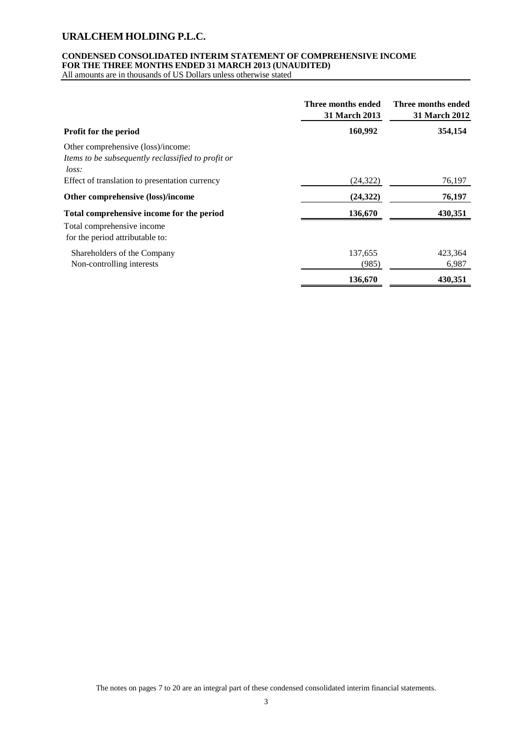### **CONDENSED CONSOLIDATED INTERIM STATEMENT OF COMPREHENSIVE INCOME FOR THE THREE MONTHS ENDED 31 MARCH 2013 (UNAUDITED)**

All amounts are in thousands of US Dollars unless otherwise stated

|                                                                                                   | Three months ended<br>31 March 2013 | Three months ended<br>31 March 2012 |
|---------------------------------------------------------------------------------------------------|-------------------------------------|-------------------------------------|
| Profit for the period                                                                             | 160,992                             | 354,154                             |
| Other comprehensive (loss)/income:<br>Items to be subsequently reclassified to profit or<br>loss: |                                     |                                     |
| Effect of translation to presentation currency                                                    | (24, 322)                           | 76,197                              |
| Other comprehensive (loss)/income                                                                 | (24, 322)                           | 76,197                              |
| Total comprehensive income for the period                                                         | 136,670                             | 430,351                             |
| Total comprehensive income<br>for the period attributable to:                                     |                                     |                                     |
| Shareholders of the Company                                                                       | 137,655                             | 423,364                             |
| Non-controlling interests                                                                         | (985)                               | 6,987                               |
|                                                                                                   | 136,670                             | 430,351                             |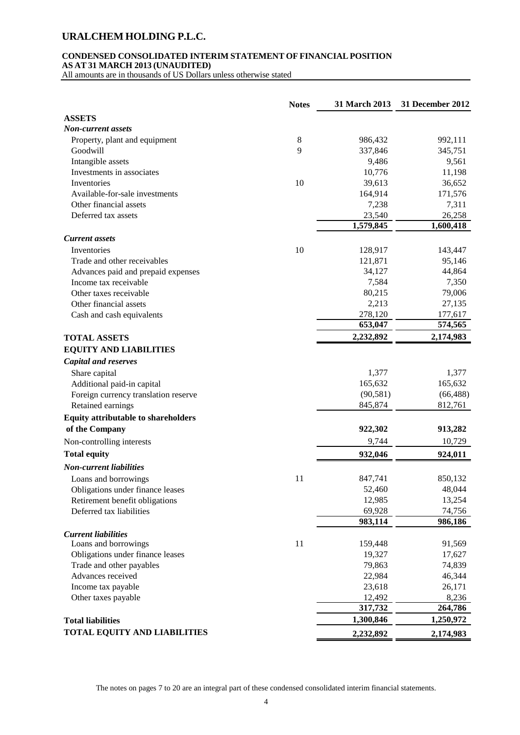### **CONDENSED CONSOLIDATED INTERIM STATEMENT OF FINANCIAL POSITION**

**AS AT 31 MARCH 2013 (UNAUDITED)**

All amounts are in thousands of US Dollars unless otherwise stated

|                                            | <b>Notes</b> | 31 March 2013 | 31 December 2012 |
|--------------------------------------------|--------------|---------------|------------------|
| <b>ASSETS</b>                              |              |               |                  |
| <b>Non-current assets</b>                  |              |               |                  |
| Property, plant and equipment              | 8            | 986,432       | 992,111          |
| Goodwill                                   | 9            | 337,846       | 345,751          |
| Intangible assets                          |              | 9,486         | 9,561            |
| Investments in associates                  |              | 10,776        | 11,198           |
| Inventories                                | 10           | 39,613        | 36,652           |
| Available-for-sale investments             |              | 164,914       | 171,576          |
| Other financial assets                     |              | 7,238         | 7,311            |
| Deferred tax assets                        |              | 23,540        | 26,258           |
|                                            |              | 1,579,845     | 1,600,418        |
| <b>Current assets</b>                      |              |               |                  |
| Inventories                                | 10           | 128,917       | 143,447          |
| Trade and other receivables                |              | 121,871       | 95,146           |
| Advances paid and prepaid expenses         |              | 34,127        | 44,864           |
| Income tax receivable                      |              | 7,584         | 7,350            |
| Other taxes receivable                     |              | 80,215        | 79,006           |
| Other financial assets                     |              | 2,213         | 27,135           |
| Cash and cash equivalents                  |              | 278,120       | 177,617          |
|                                            |              | 653,047       | 574,565          |
| <b>TOTAL ASSETS</b>                        |              | 2,232,892     | 2,174,983        |
| <b>EQUITY AND LIABILITIES</b>              |              |               |                  |
| <b>Capital and reserves</b>                |              |               |                  |
| Share capital                              |              | 1,377         | 1,377            |
| Additional paid-in capital                 |              | 165,632       | 165,632          |
| Foreign currency translation reserve       |              | (90, 581)     | (66, 488)        |
| Retained earnings                          |              | 845,874       | 812,761          |
| <b>Equity attributable to shareholders</b> |              |               |                  |
| of the Company                             |              | 922,302       | 913,282          |
|                                            |              |               |                  |
| Non-controlling interests                  |              | 9,744         | 10,729           |
| <b>Total equity</b>                        |              | 932,046       | 924,011          |
| <b>Non-current liabilities</b>             |              |               |                  |
| Loans and borrowings                       | 11           | 847,741       | 850,132          |
| Obligations under finance leases           |              | 52,460        | 48,044           |
| Retirement benefit obligations             |              | 12,985        | 13,254           |
| Deferred tax liabilities                   |              | 69,928        | 74,756           |
|                                            |              | 983,114       | 986,186          |
| <b>Current liabilities</b>                 |              |               |                  |
| Loans and borrowings                       | 11           | 159,448       | 91,569           |
| Obligations under finance leases           |              | 19,327        | 17,627           |
| Trade and other payables                   |              | 79,863        | 74,839           |
| Advances received                          |              | 22,984        | 46,344           |
| Income tax payable                         |              | 23,618        | 26,171           |
| Other taxes payable                        |              | 12,492        | 8,236            |
|                                            |              | 317,732       | 264,786          |
| <b>Total liabilities</b>                   |              | 1,300,846     | 1,250,972        |
| <b>TOTAL EQUITY AND LIABILITIES</b>        |              | 2,232,892     | 2,174,983        |

The notes on pages 7 to 20 are an integral part of these condensed consolidated interim financial statements.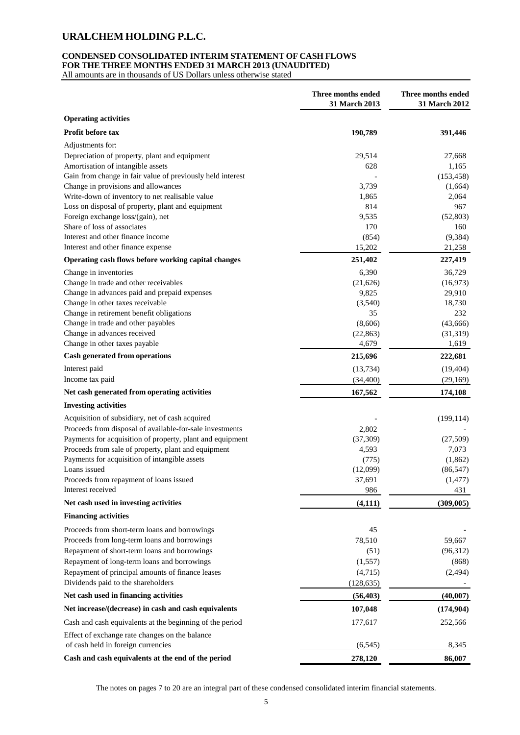### **CONDENSED CONSOLIDATED INTERIM STATEMENT OF CASH FLOWS FOR THE THREE MONTHS ENDED 31 MARCH 2013 (UNAUDITED)**

All amounts are in thousands of US Dollars unless otherwise stated

|                                                            | Three months ended<br>31 March 2013 | Three months ended<br>31 March 2012 |
|------------------------------------------------------------|-------------------------------------|-------------------------------------|
| <b>Operating activities</b>                                |                                     |                                     |
| Profit before tax                                          | 190,789                             | 391,446                             |
| Adjustments for:                                           |                                     |                                     |
| Depreciation of property, plant and equipment              | 29,514                              | 27,668                              |
| Amortisation of intangible assets                          | 628                                 | 1,165                               |
| Gain from change in fair value of previously held interest |                                     | (153, 458)                          |
| Change in provisions and allowances                        | 3,739                               | (1,664)                             |
| Write-down of inventory to net realisable value            | 1,865                               | 2,064                               |
| Loss on disposal of property, plant and equipment          | 814                                 | 967                                 |
| Foreign exchange loss/(gain), net                          | 9,535                               | (52, 803)                           |
| Share of loss of associates                                | 170                                 | 160                                 |
| Interest and other finance income                          | (854)                               | (9, 384)                            |
| Interest and other finance expense                         | 15,202                              | 21,258                              |
| Operating cash flows before working capital changes        | 251,402                             | 227,419                             |
| Change in inventories                                      | 6,390                               | 36,729                              |
| Change in trade and other receivables                      | (21,626)                            | (16, 973)                           |
| Change in advances paid and prepaid expenses               | 9,825                               | 29,910                              |
| Change in other taxes receivable                           | (3,540)                             | 18,730                              |
| Change in retirement benefit obligations                   | 35                                  | 232                                 |
| Change in trade and other payables                         | (8,606)                             | (43,666)                            |
| Change in advances received                                | (22, 863)                           | (31,319)                            |
| Change in other taxes payable                              | 4,679                               | 1,619                               |
| Cash generated from operations                             | 215,696                             | 222,681                             |
| Interest paid                                              | (13, 734)                           | (19, 404)                           |
| Income tax paid                                            | (34, 400)                           | (29,169)                            |
| Net cash generated from operating activities               | 167,562                             | 174,108                             |
| <b>Investing activities</b>                                |                                     |                                     |
| Acquisition of subsidiary, net of cash acquired            |                                     | (199, 114)                          |
| Proceeds from disposal of available-for-sale investments   | 2,802                               |                                     |
| Payments for acquisition of property, plant and equipment  | (37,309)                            | (27,509)                            |
| Proceeds from sale of property, plant and equipment        | 4,593                               | 7,073                               |
| Payments for acquisition of intangible assets              | (775)                               | (1,862)                             |
| Loans issued                                               | (12,099)                            | (86, 547)                           |
| Proceeds from repayment of loans issued                    | 37,691                              | (1, 477)                            |
| Interest received                                          | 986                                 | 431                                 |
| Net cash used in investing activities                      | (4, 111)                            | (309, 005)                          |
| <b>Financing activities</b>                                |                                     |                                     |
| Proceeds from short-term loans and borrowings              | 45                                  |                                     |
| Proceeds from long-term loans and borrowings               | 78,510                              | 59,667                              |
| Repayment of short-term loans and borrowings               | (51)                                | (96,312)                            |
| Repayment of long-term loans and borrowings                | (1,557)                             | (868)                               |
| Repayment of principal amounts of finance leases           | (4,715)                             | (2, 494)                            |
| Dividends paid to the shareholders                         | (128, 635)                          |                                     |
| Net cash used in financing activities                      | (56, 403)                           | (40,007)                            |
| Net increase/(decrease) in cash and cash equivalents       | 107,048                             | (174,904)                           |
| Cash and cash equivalents at the beginning of the period   | 177,617                             | 252,566                             |
| Effect of exchange rate changes on the balance             |                                     |                                     |
| of cash held in foreign currencies                         | (6, 545)                            | 8,345                               |
| Cash and cash equivalents at the end of the period         | 278,120                             | 86,007                              |
|                                                            |                                     |                                     |

The notes on pages 7 to 20 are an integral part of these condensed consolidated interim financial statements.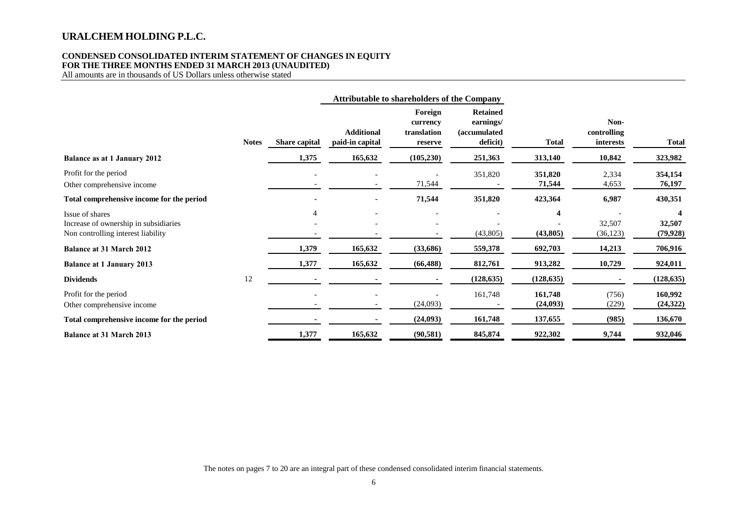### **CONDENSED CONSOLIDATED INTERIM STATEMENT OF CHANGES IN EQUITY FOR THE THREE MONTHS ENDED 31 MARCH 2013 (UNAUDITED)**

All amounts are in thousands of US Dollars unless otherwise stated

|                                                                                                |              |                          |                                      | <b>Attributable to shareholders of the Company</b> |                                                                  |                     |                                  |                                                |
|------------------------------------------------------------------------------------------------|--------------|--------------------------|--------------------------------------|----------------------------------------------------|------------------------------------------------------------------|---------------------|----------------------------------|------------------------------------------------|
|                                                                                                | <b>Notes</b> | <b>Share capital</b>     | <b>Additional</b><br>paid-in capital | Foreign<br>currency<br>translation<br>reserve      | <b>Retained</b><br>earnings/<br><i>(accumulated)</i><br>deficit) | <b>Total</b>        | Non-<br>controlling<br>interests | <b>Total</b>                                   |
| <b>Balance as at 1 January 2012</b>                                                            |              | 1,375                    | 165,632                              | (105, 230)                                         | 251,363                                                          | 313,140             | 10,842                           | 323,982                                        |
| Profit for the period<br>Other comprehensive income                                            |              | $\overline{\phantom{a}}$ |                                      | 71,544                                             | 351,820                                                          | 351,820<br>71,544   | 2,334<br>4,653                   | 354,154<br>76,197                              |
| Total comprehensive income for the period                                                      |              |                          |                                      | 71,544                                             | 351,820                                                          | 423,364             | 6,987                            | 430,351                                        |
| Issue of shares<br>Increase of ownership in subsidiaries<br>Non controlling interest liability |              |                          |                                      |                                                    | (43,805)                                                         | 4<br>(43,805)       | 32,507<br>(36, 123)              | $\overline{\mathbf{4}}$<br>32,507<br>(79, 928) |
| <b>Balance at 31 March 2012</b>                                                                |              | 1,379                    | 165,632                              | (33,686)                                           | 559,378                                                          | 692,703             | 14,213                           | 706,916                                        |
| <b>Balance at 1 January 2013</b>                                                               |              | 1,377                    | 165,632                              | (66, 488)                                          | 812,761                                                          | 913,282             | 10,729                           | 924,011                                        |
| <b>Dividends</b>                                                                               | 12           | $\blacksquare$           |                                      |                                                    | (128, 635)                                                       | (128, 635)          |                                  | (128, 635)                                     |
| Profit for the period<br>Other comprehensive income                                            |              |                          |                                      | (24,093)                                           | 161,748                                                          | 161,748<br>(24,093) | (756)<br>(229)                   | 160,992<br>(24, 322)                           |
| Total comprehensive income for the period                                                      |              | $\blacksquare$           |                                      | (24, 093)                                          | 161,748                                                          | 137,655             | (985)                            | 136,670                                        |
| <b>Balance at 31 March 2013</b>                                                                |              | 1,377                    | 165,632                              | (90, 581)                                          | 845,874                                                          | 922,302             | 9,744                            | 932,046                                        |

The notes on pages 7 to 20 are an integral part of these condensed consolidated interim financial statements.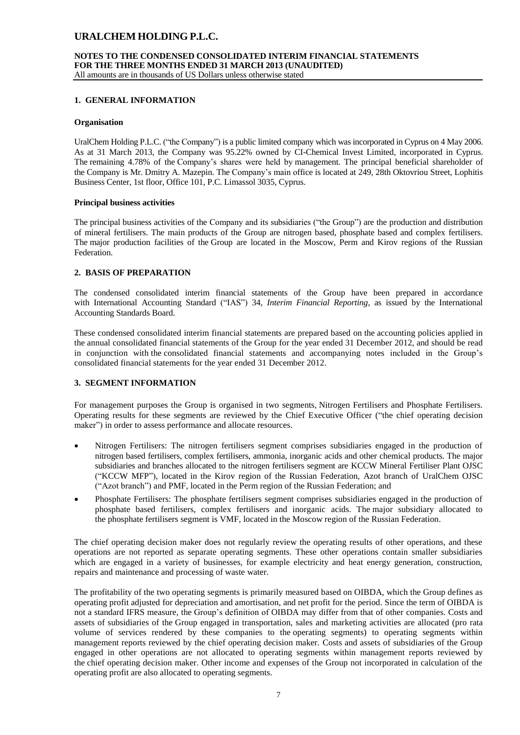**1. GENERAL INFORMATION**

#### **Organisation**

UralChem Holding P.L.C. ("the Company") is a public limited company which was incorporated in Cyprus on 4 May 2006. As at 31 March 2013, the Company was 95.22% owned by CI-Chemical Invest Limited, incorporated in Cyprus. The remaining 4.78% of the Company's shares were held by management. The principal beneficial shareholder of the Company is Mr. Dmitry A. Mazepin. The Company's main office is located at 249, 28th Oktovriou Street, Lophitis Business Center, 1st floor, Office 101, P.C. Limassol 3035, Cyprus.

#### **Principal business activities**

The principal business activities of the Company and its subsidiaries ("the Group") are the production and distribution of mineral fertilisers. The main products of the Group are nitrogen based, phosphate based and complex fertilisers. The major production facilities of the Group are located in the Moscow, Perm and Kirov regions of the Russian Federation.

### **2. BASIS OF PREPARATION**

The condensed consolidated interim financial statements of the Group have been prepared in accordance with International Accounting Standard ("IAS") 34, *Interim Financial Reporting*, as issued by the International Accounting Standards Board.

These condensed consolidated interim financial statements are prepared based on the accounting policies applied in the annual consolidated financial statements of the Group for the year ended 31 December 2012, and should be read in conjunction with the consolidated financial statements and accompanying notes included in the Group's consolidated financial statements for the year ended 31 December 2012.

#### **3. SEGMENT INFORMATION**

For management purposes the Group is organised in two segments, Nitrogen Fertilisers and Phosphate Fertilisers. Operating results for these segments are reviewed by the Chief Executive Officer ("the chief operating decision maker") in order to assess performance and allocate resources.

- Nitrogen Fertilisers: The nitrogen fertilisers segment comprises subsidiaries engaged in the production of nitrogen based fertilisers, complex fertilisers, ammonia, inorganic acids and other chemical products. The major subsidiaries and branches allocated to the nitrogen fertilisers segment are KCCW Mineral Fertiliser Plant OJSC ("KCCW MFP"), located in the Kirov region of the Russian Federation, Azot branch of UralChem OJSC ("Azot branch") and PMF, located in the Perm region of the Russian Federation; and
- Phosphate Fertilisers: The phosphate fertilisers segment comprises subsidiaries engaged in the production of phosphate based fertilisers, complex fertilisers and inorganic acids. The major subsidiary allocated to the phosphate fertilisers segment is VMF, located in the Moscow region of the Russian Federation.

The chief operating decision maker does not regularly review the operating results of other operations, and these operations are not reported as separate operating segments. These other operations contain smaller subsidiaries which are engaged in a variety of businesses, for example electricity and heat energy generation, construction, repairs and maintenance and processing of waste water.

The profitability of the two operating segments is primarily measured based on OIBDA, which the Group defines as operating profit adjusted for depreciation and amortisation, and net profit for the period. Since the term of OIBDA is not a standard IFRS measure, the Group's definition of OIBDA may differ from that of other companies. Costs and assets of subsidiaries of the Group engaged in transportation, sales and marketing activities are allocated (pro rata volume of services rendered by these companies to the operating segments) to operating segments within management reports reviewed by the chief operating decision maker. Costs and assets of subsidiaries of the Group engaged in other operations are not allocated to operating segments within management reports reviewed by the chief operating decision maker. Other income and expenses of the Group not incorporated in calculation of the operating profit are also allocated to operating segments.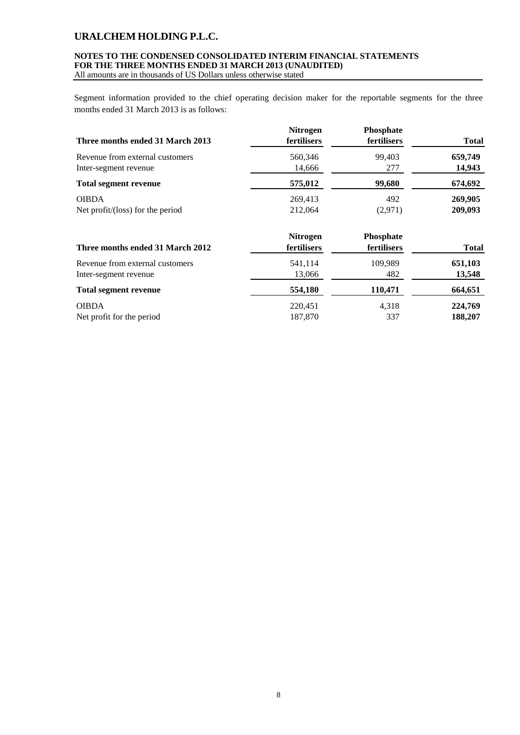### **NOTES TO THE CONDENSED CONSOLIDATED INTERIM FINANCIAL STATEMENTS FOR THE THREE MONTHS ENDED 31 MARCH 2013 (UNAUDITED)**

All amounts are in thousands of US Dollars unless otherwise stated

Segment information provided to the chief operating decision maker for the reportable segments for the three months ended 31 March 2013 is as follows:

| Three months ended 31 March 2013 | <b>Nitrogen</b><br>fertilisers | <b>Phosphate</b><br>fertilisers | <b>Total</b> |
|----------------------------------|--------------------------------|---------------------------------|--------------|
| Revenue from external customers  | 560,346                        | 99.403                          | 659,749      |
| Inter-segment revenue            | 14,666                         | 277                             | 14,943       |
| <b>Total segment revenue</b>     | 575,012                        | 99,680                          | 674,692      |
| <b>OIBDA</b>                     | 269,413                        | 492                             | 269,905      |
| Net profit/(loss) for the period | 212,064                        | (2,971)                         | 209,093      |

| Three months ended 31 March 2012 | <b>Nitrogen</b><br>fertilisers | <b>Phosphate</b><br>fertilisers | <b>Total</b> |
|----------------------------------|--------------------------------|---------------------------------|--------------|
| Revenue from external customers  | 541,114                        | 109,989                         | 651,103      |
| Inter-segment revenue            | 13,066                         | 482                             | 13,548       |
| <b>Total segment revenue</b>     | 554,180                        | 110,471                         | 664,651      |
| <b>OIBDA</b>                     | 220,451                        | 4,318                           | 224,769      |
| Net profit for the period        | 187,870                        | 337                             | 188,207      |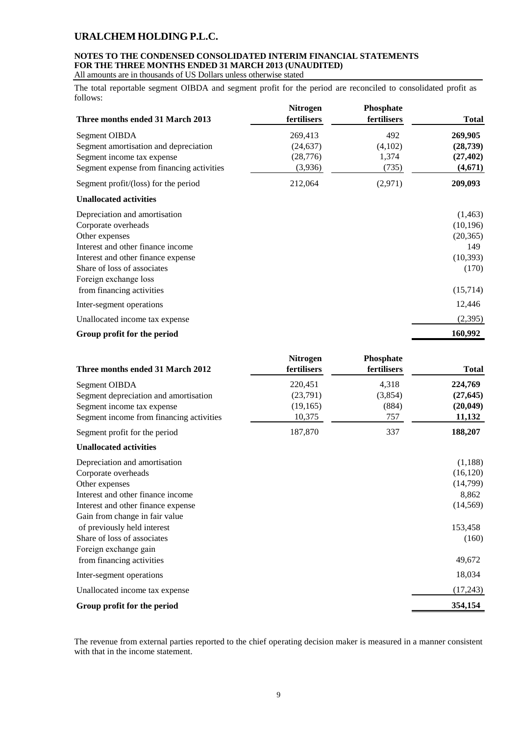### **NOTES TO THE CONDENSED CONSOLIDATED INTERIM FINANCIAL STATEMENTS FOR THE THREE MONTHS ENDED 31 MARCH 2013 (UNAUDITED)**

All amounts are in thousands of US Dollars unless otherwise stated

The total reportable segment OIBDA and segment profit for the period are reconciled to consolidated profit as follows:

| Three months ended 31 March 2013          | <b>Nitrogen</b><br>fertilisers | <b>Phosphate</b><br>fertilisers | <b>Total</b> |
|-------------------------------------------|--------------------------------|---------------------------------|--------------|
| Segment OIBDA                             | 269,413                        | 492                             | 269,905      |
| Segment amortisation and depreciation     | (24, 637)                      | (4,102)                         | (28, 739)    |
| Segment income tax expense                | (28, 776)                      | 1,374                           | (27, 402)    |
| Segment expense from financing activities | (3,936)                        | (735)                           | (4,671)      |
| Segment profit/(loss) for the period      | 212,064                        | (2,971)                         | 209,093      |
| <b>Unallocated activities</b>             |                                |                                 |              |
| Depreciation and amortisation             |                                |                                 | (1, 463)     |
| Corporate overheads                       |                                |                                 | (10, 196)    |
| Other expenses                            |                                |                                 | (20, 365)    |
| Interest and other finance income         |                                |                                 | 149          |
| Interest and other finance expense        |                                |                                 | (10, 393)    |
| Share of loss of associates               |                                |                                 | (170)        |
| Foreign exchange loss                     |                                |                                 |              |
| from financing activities                 |                                |                                 | (15,714)     |
| Inter-segment operations                  |                                |                                 | 12,446       |
| Unallocated income tax expense            |                                |                                 | (2,395)      |
| Group profit for the period               |                                |                                 | 160,992      |

| Three months ended 31 March 2012                                                                                                                                                                                                                                           | <b>Nitrogen</b><br>fertilisers            | Phosphate<br>fertilisers         | Total                                                                      |
|----------------------------------------------------------------------------------------------------------------------------------------------------------------------------------------------------------------------------------------------------------------------------|-------------------------------------------|----------------------------------|----------------------------------------------------------------------------|
| Segment OIBDA<br>Segment depreciation and amortisation<br>Segment income tax expense<br>Segment income from financing activities                                                                                                                                           | 220,451<br>(23,791)<br>(19,165)<br>10,375 | 4,318<br>(3,854)<br>(884)<br>757 | 224,769<br>(27, 645)<br>(20, 049)<br>11,132                                |
| Segment profit for the period                                                                                                                                                                                                                                              | 187,870                                   | 337                              | 188,207                                                                    |
| <b>Unallocated activities</b>                                                                                                                                                                                                                                              |                                           |                                  |                                                                            |
| Depreciation and amortisation<br>Corporate overheads<br>Other expenses<br>Interest and other finance income<br>Interest and other finance expense<br>Gain from change in fair value<br>of previously held interest<br>Share of loss of associates<br>Foreign exchange gain |                                           |                                  | (1,188)<br>(16, 120)<br>(14,799)<br>8,862<br>(14, 569)<br>153,458<br>(160) |
| from financing activities                                                                                                                                                                                                                                                  |                                           |                                  | 49,672                                                                     |
| Inter-segment operations                                                                                                                                                                                                                                                   |                                           |                                  | 18,034                                                                     |
| Unallocated income tax expense                                                                                                                                                                                                                                             |                                           |                                  | (17,243)                                                                   |
| Group profit for the period                                                                                                                                                                                                                                                |                                           |                                  | 354,154                                                                    |

The revenue from external parties reported to the chief operating decision maker is measured in a manner consistent with that in the income statement.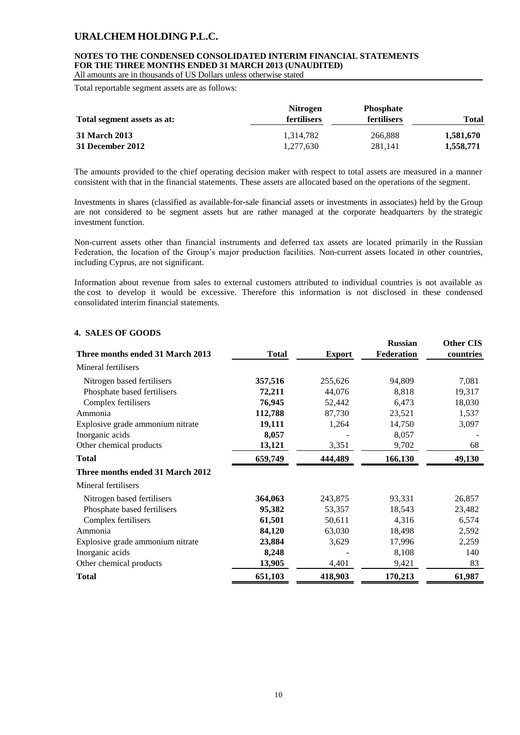### **NOTES TO THE CONDENSED CONSOLIDATED INTERIM FINANCIAL STATEMENTS FOR THE THREE MONTHS ENDED 31 MARCH 2013 (UNAUDITED)**

All amounts are in thousands of US Dollars unless otherwise stated

Total reportable segment assets are as follows:

| Total segment assets as at: | <b>Nitrogen</b><br><b>fertilisers</b> | <b>Phosphate</b><br><b>fertilisers</b> | <b>Total</b> |
|-----------------------------|---------------------------------------|----------------------------------------|--------------|
| 31 March 2013               | 1.314.782                             | 266,888                                | 1,581,670    |
| 31 December 2012            | 1.277.630                             | 281.141                                | 1,558,771    |

The amounts provided to the chief operating decision maker with respect to total assets are measured in a manner consistent with that in the financial statements. These assets are allocated based on the operations of the segment.

Investments in shares (classified as available-for-sale financial assets or investments in associates) held by the Group are not considered to be segment assets but are rather managed at the corporate headquarters by the strategic investment function.

Non-current assets other than financial instruments and deferred tax assets are located primarily in the Russian Federation, the location of the Group's major production facilities. Non-current assets located in other countries, including Cyprus, are not significant.

Information about revenue from sales to external customers attributed to individual countries is not available as the cost to develop it would be excessive. Therefore this information is not disclosed in these condensed consolidated interim financial statements.

### **4. SALES OF GOODS**

| Three months ended 31 March 2013 | <b>Total</b> | <b>Export</b> | <b>Russian</b><br><b>Federation</b> | <b>Other CIS</b><br>countries |
|----------------------------------|--------------|---------------|-------------------------------------|-------------------------------|
| Mineral fertilisers              |              |               |                                     |                               |
| Nitrogen based fertilisers       | 357,516      | 255,626       | 94,809                              | 7,081                         |
| Phosphate based fertilisers      | 72,211       | 44,076        | 8,818                               | 19,317                        |
| Complex fertilisers              | 76,945       | 52,442        | 6,473                               | 18,030                        |
| Ammonia                          | 112,788      | 87,730        | 23,521                              | 1,537                         |
| Explosive grade ammonium nitrate | 19,111       | 1,264         | 14,750                              | 3,097                         |
| Inorganic acids                  | 8,057        |               | 8,057                               |                               |
| Other chemical products          | 13,121       | 3,351         | 9,702                               | 68                            |
| <b>Total</b>                     | 659,749      | 444,489       | 166,130                             | 49,130                        |
| Three months ended 31 March 2012 |              |               |                                     |                               |
| Mineral fertilisers              |              |               |                                     |                               |
| Nitrogen based fertilisers       | 364,063      | 243,875       | 93,331                              | 26,857                        |
| Phosphate based fertilisers      | 95,382       | 53,357        | 18,543                              | 23,482                        |
| Complex fertilisers              | 61,501       | 50,611        | 4,316                               | 6,574                         |
| Ammonia                          | 84,120       | 63,030        | 18,498                              | 2,592                         |
| Explosive grade ammonium nitrate | 23,884       | 3,629         | 17,996                              | 2,259                         |
| Inorganic acids                  | 8,248        |               | 8,108                               | 140                           |
| Other chemical products          | 13,905       | 4,401         | 9,421                               | 83                            |
| <b>Total</b>                     | 651,103      | 418,903       | 170,213                             | 61,987                        |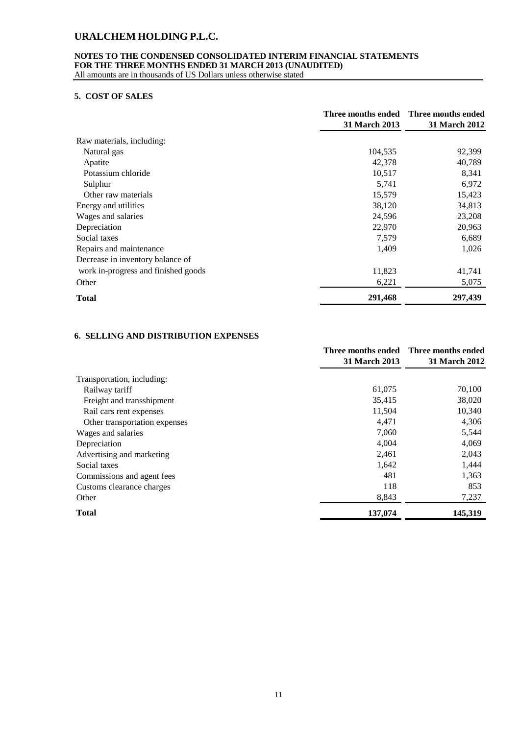### **NOTES TO THE CONDENSED CONSOLIDATED INTERIM FINANCIAL STATEMENTS FOR THE THREE MONTHS ENDED 31 MARCH 2013 (UNAUDITED)**

All amounts are in thousands of US Dollars unless otherwise stated

### **5. COST OF SALES**

|                                     |               | Three months ended Three months ended |
|-------------------------------------|---------------|---------------------------------------|
|                                     | 31 March 2013 | 31 March 2012                         |
| Raw materials, including:           |               |                                       |
| Natural gas                         | 104,535       | 92,399                                |
| Apatite                             | 42,378        | 40,789                                |
| Potassium chloride                  | 10,517        | 8,341                                 |
| Sulphur                             | 5,741         | 6,972                                 |
| Other raw materials                 | 15,579        | 15,423                                |
| Energy and utilities                | 38,120        | 34,813                                |
| Wages and salaries                  | 24,596        | 23,208                                |
| Depreciation                        | 22,970        | 20,963                                |
| Social taxes                        | 7,579         | 6,689                                 |
| Repairs and maintenance             | 1,409         | 1,026                                 |
| Decrease in inventory balance of    |               |                                       |
| work in-progress and finished goods | 11,823        | 41,741                                |
| Other                               | 6,221         | 5,075                                 |
| <b>Total</b>                        | 291,468       | 297,439                               |

### **6. SELLING AND DISTRIBUTION EXPENSES**

|                               |               | Three months ended Three months ended |
|-------------------------------|---------------|---------------------------------------|
|                               | 31 March 2013 | <b>31 March 2012</b>                  |
| Transportation, including:    |               |                                       |
| Railway tariff                | 61,075        | 70,100                                |
| Freight and transshipment     | 35,415        | 38,020                                |
| Rail cars rent expenses       | 11,504        | 10,340                                |
| Other transportation expenses | 4,471         | 4,306                                 |
| Wages and salaries            | 7,060         | 5,544                                 |
| Depreciation                  | 4,004         | 4,069                                 |
| Advertising and marketing     | 2,461         | 2,043                                 |
| Social taxes                  | 1,642         | 1,444                                 |
| Commissions and agent fees    | 481           | 1,363                                 |
| Customs clearance charges     | 118           | 853                                   |
| Other                         | 8,843         | 7,237                                 |
| <b>Total</b>                  | 137,074       | 145,319                               |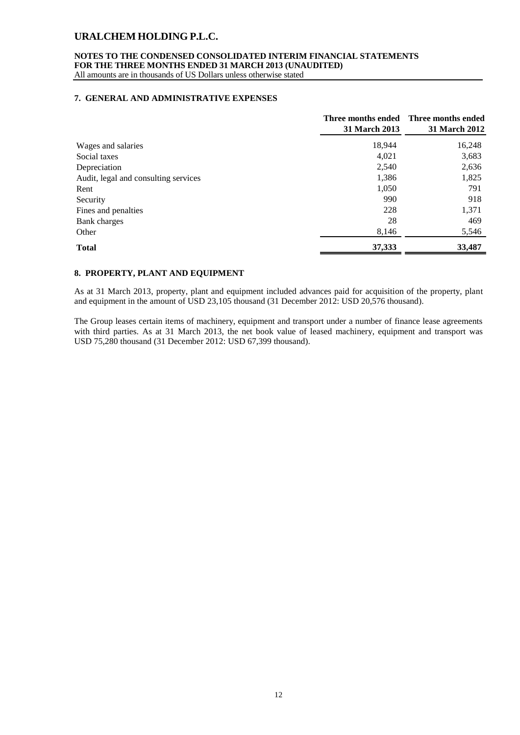### **NOTES TO THE CONDENSED CONSOLIDATED INTERIM FINANCIAL STATEMENTS FOR THE THREE MONTHS ENDED 31 MARCH 2013 (UNAUDITED)**

All amounts are in thousands of US Dollars unless otherwise stated

#### **7. GENERAL AND ADMINISTRATIVE EXPENSES**

|                                      | <b>31 March 2013</b> | Three months ended Three months ended<br><b>31 March 2012</b> |
|--------------------------------------|----------------------|---------------------------------------------------------------|
| Wages and salaries                   | 18,944               | 16,248                                                        |
| Social taxes                         | 4,021                | 3,683                                                         |
| Depreciation                         | 2,540                | 2,636                                                         |
| Audit, legal and consulting services | 1,386                | 1,825                                                         |
| Rent                                 | 1,050                | 791                                                           |
| Security                             | 990                  | 918                                                           |
| Fines and penalties                  | 228                  | 1,371                                                         |
| Bank charges                         | 28                   | 469                                                           |
| Other                                | 8,146                | 5,546                                                         |
| <b>Total</b>                         | 37,333               | 33,487                                                        |

### **8. PROPERTY, PLANT AND EQUIPMENT**

As at 31 March 2013, property, plant and equipment included advances paid for acquisition of the property, plant and equipment in the amount of USD 23,105 thousand (31 December 2012: USD 20,576 thousand).

The Group leases certain items of machinery, equipment and transport under a number of finance lease agreements with third parties. As at 31 March 2013, the net book value of leased machinery, equipment and transport was USD 75,280 thousand (31 December 2012: USD 67,399 thousand).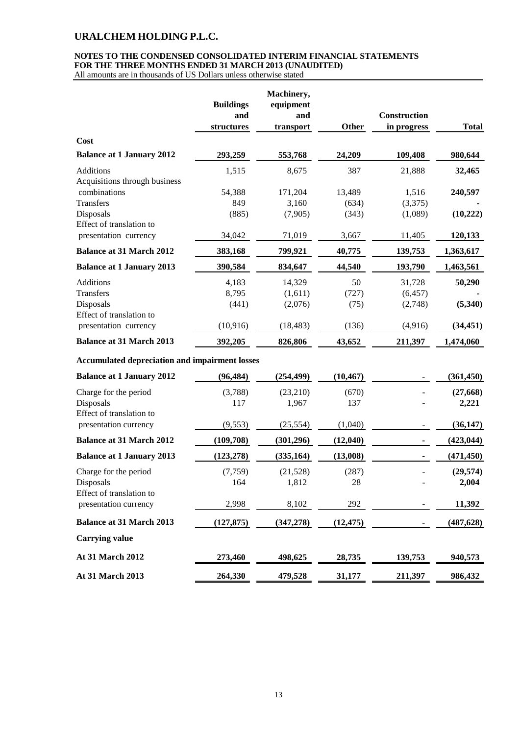### **NOTES TO THE CONDENSED CONSOLIDATED INTERIM FINANCIAL STATEMENTS FOR THE THREE MONTHS ENDED 31 MARCH 2013 (UNAUDITED)**

All amounts are in thousands of US Dollars unless otherwise stated

|                                  | <b>Buildings</b> | Machinery,<br>equipment |        |                     |              |
|----------------------------------|------------------|-------------------------|--------|---------------------|--------------|
|                                  | and              | and                     |        | <b>Construction</b> |              |
|                                  | structures       | transport               | Other  | in progress         | <b>Total</b> |
| Cost                             |                  |                         |        |                     |              |
| <b>Balance at 1 January 2012</b> | 293,259          | 553,768                 | 24,209 | 109,408             | 980,644      |
| <b>Additions</b>                 | 1,515            | 8,675                   | 387    | 21,888              | 32,465       |
| Acquisitions through business    |                  |                         |        |                     |              |
| combinations                     | 54,388           | 171,204                 | 13,489 | 1,516               | 240,597      |
| <b>Transfers</b>                 | 849              | 3,160                   | (634)  | (3,375)             |              |
| Disposals                        | (885)            | (7,905)                 | (343)  | (1,089)             | (10, 222)    |
| Effect of translation to         |                  |                         |        |                     |              |
| presentation currency            | 34,042           | 71,019                  | 3,667  | 11,405              | 120,133      |
| <b>Balance at 31 March 2012</b>  | 383,168          | 799,921                 | 40,775 | 139,753             | 1,363,617    |
| <b>Balance at 1 January 2013</b> | 390,584          | 834,647                 | 44,540 | 193,790             | 1,463,561    |
| <b>Additions</b>                 | 4,183            | 14,329                  | 50     | 31,728              | 50,290       |
| Transfers                        | 8,795            | (1,611)                 | (727)  | (6, 457)            |              |
| Disposals                        | (441)            | (2,076)                 | (75)   | (2,748)             | (5,340)      |
| Effect of translation to         |                  |                         |        |                     |              |
| presentation currency            | (10,916)         | (18, 483)               | (136)  | (4,916)             | (34, 451)    |
| <b>Balance at 31 March 2013</b>  | 392,205          | 826,806                 | 43,652 | 211,397             | 1,474,060    |

### **Accumulated depreciation and impairment losses**

| <b>Balance at 1 January 2012</b>      | (96, 484)  | (254, 499) | (10, 467) |         | (361, 450) |
|---------------------------------------|------------|------------|-----------|---------|------------|
| Charge for the period                 | (3,788)    | (23,210)   | (670)     |         | (27, 668)  |
| Disposals<br>Effect of translation to | 117        | 1,967      | 137       |         | 2,221      |
| presentation currency                 | (9, 553)   | (25, 554)  | (1,040)   |         | (36, 147)  |
| <b>Balance at 31 March 2012</b>       | (109,708)  | (301, 296) | (12,040)  |         | (423, 044) |
| <b>Balance at 1 January 2013</b>      | (123, 278) | (335, 164) | (13,008)  |         | (471, 450) |
| Charge for the period                 | (7,759)    | (21,528)   | (287)     |         | (29, 574)  |
| Disposals<br>Effect of translation to | 164        | 1,812      | 28        |         | 2,004      |
| presentation currency                 | 2,998      | 8,102      | 292       |         | 11,392     |
| <b>Balance at 31 March 2013</b>       | (127, 875) | (347, 278) | (12, 475) |         | (487, 628) |
| <b>Carrying value</b>                 |            |            |           |         |            |
| <b>At 31 March 2012</b>               | 273,460    | 498,625    | 28,735    | 139,753 | 940,573    |
| <b>At 31 March 2013</b>               | 264,330    | 479,528    | 31,177    | 211,397 | 986,432    |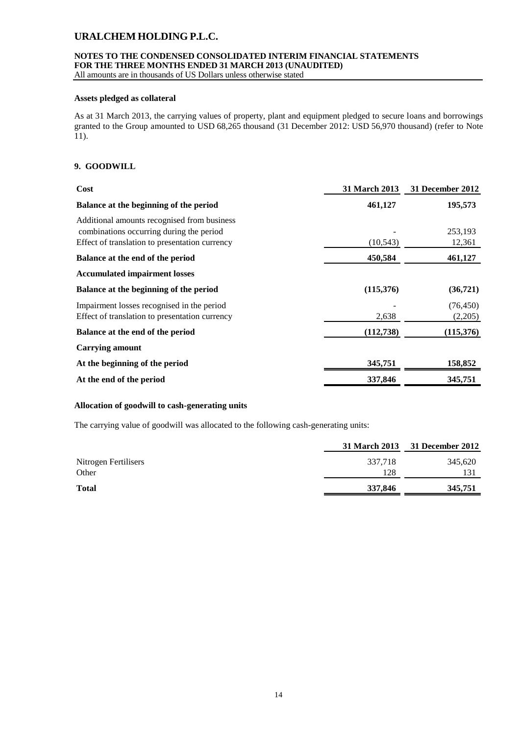### **NOTES TO THE CONDENSED CONSOLIDATED INTERIM FINANCIAL STATEMENTS FOR THE THREE MONTHS ENDED 31 MARCH 2013 (UNAUDITED)**

All amounts are in thousands of US Dollars unless otherwise stated

### **Assets pledged as collateral**

As at 31 March 2013, the carrying values of property, plant and equipment pledged to secure loans and borrowings granted to the Group amounted to USD 68,265 thousand (31 December 2012: USD 56,970 thousand) (refer to Note  $(11)$ .

### **9. GOODWILL**

| Cost                                                                                    | 31 March 2013 | 31 December 2012 |
|-----------------------------------------------------------------------------------------|---------------|------------------|
| Balance at the beginning of the period                                                  | 461,127       | 195,573          |
| Additional amounts recognised from business<br>combinations occurring during the period |               | 253,193          |
| Effect of translation to presentation currency                                          | (10, 543)     | 12,361           |
| Balance at the end of the period                                                        | 450,584       | 461,127          |
| <b>Accumulated impairment losses</b>                                                    |               |                  |
| Balance at the beginning of the period                                                  | (115,376)     | (36,721)         |
| Impairment losses recognised in the period                                              |               | (76, 450)        |
| Effect of translation to presentation currency                                          | 2,638         | (2,205)          |
| Balance at the end of the period                                                        | (112, 738)    | (115,376)        |
| <b>Carrying amount</b>                                                                  |               |                  |
| At the beginning of the period                                                          | 345,751       | 158,852          |
| At the end of the period                                                                | 337,846       | 345,751          |

### **Allocation of goodwill to cash-generating units**

The carrying value of goodwill was allocated to the following cash-generating units:

|                      |         | 31 March 2013 31 December 2012 |
|----------------------|---------|--------------------------------|
| Nitrogen Fertilisers | 337,718 | 345,620                        |
| Other                | 128     |                                |
| <b>Total</b>         | 337,846 | 345,751                        |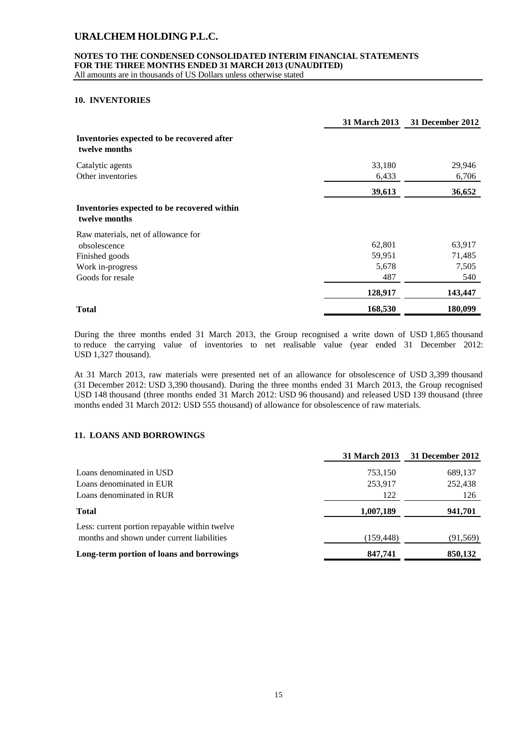#### **NOTES TO THE CONDENSED CONSOLIDATED INTERIM FINANCIAL STATEMENTS FOR THE THREE MONTHS ENDED 31 MARCH 2013 (UNAUDITED)**

All amounts are in thousands of US Dollars unless otherwise stated

### **10. INVENTORIES**

|                                                              | <b>31 March 2013</b> | 31 December 2012 |
|--------------------------------------------------------------|----------------------|------------------|
| Inventories expected to be recovered after<br>twelve months  |                      |                  |
| Catalytic agents                                             | 33,180               | 29,946           |
| Other inventories                                            | 6,433                | 6,706            |
|                                                              | 39,613               | 36,652           |
| Inventories expected to be recovered within<br>twelve months |                      |                  |
| Raw materials, net of allowance for                          |                      |                  |
| obsolescence                                                 | 62,801               | 63,917           |
| Finished goods                                               | 59,951               | 71,485           |
| Work in-progress                                             | 5,678                | 7,505            |
| Goods for resale                                             | 487                  | 540              |
|                                                              | 128,917              | 143,447          |
| Total                                                        | 168,530              | 180,099          |

During the three months ended 31 March 2013, the Group recognised a write down of USD 1,865 thousand to reduce the carrying value of inventories to net realisable value (year ended 31 December 2012: USD 1,327 thousand).

At 31 March 2013, raw materials were presented net of an allowance for obsolescence of USD 3,399 thousand (31 December 2012: USD 3,390 thousand). During the three months ended 31 March 2013, the Group recognised USD 148 thousand (three months ended 31 March 2012: USD 96 thousand) and released USD 139 thousand (three months ended 31 March 2012: USD 555 thousand) of allowance for obsolescence of raw materials.

### **11. LOANS AND BORROWINGS**

|                                               | <b>31 March 2013</b> | 31 December 2012 |
|-----------------------------------------------|----------------------|------------------|
| Loans denominated in USD                      | 753,150              | 689,137          |
| Loans denominated in EUR                      | 253,917              | 252,438          |
| Loans denominated in RUR                      | 122                  | 126              |
| <b>Total</b>                                  | 1,007,189            | 941,701          |
| Less: current portion repayable within twelve |                      |                  |
| months and shown under current liabilities    | (159, 448)           | (91, 569)        |
| Long-term portion of loans and borrowings     | 847,741              | 850,132          |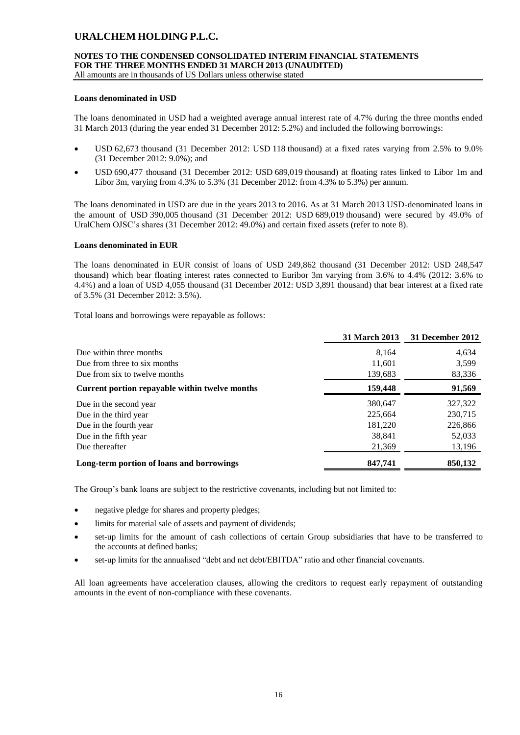#### **NOTES TO THE CONDENSED CONSOLIDATED INTERIM FINANCIAL STATEMENTS FOR THE THREE MONTHS ENDED 31 MARCH 2013 (UNAUDITED)** All amounts are in thousands of US Dollars unless otherwise stated

# **Loans denominated in USD**

The loans denominated in USD had a weighted average annual interest rate of 4.7% during the three months ended 31 March 2013 (during the year ended 31 December 2012: 5.2%) and included the following borrowings:

- USD 62,673 thousand (31 December 2012: USD 118 thousand) at a fixed rates varying from 2.5% to 9.0% (31 December 2012: 9.0%); and
- USD 690,477 thousand (31 December 2012: USD 689,019 thousand) at floating rates linked to Libor 1m and Libor 3m, varying from 4.3% to 5.3% (31 December 2012: from 4.3% to 5.3%) per annum.

The loans denominated in USD are due in the years 2013 to 2016. As at 31 March 2013 USD-denominated loans in the amount of USD 390,005 thousand (31 December 2012: USD 689,019 thousand) were secured by 49.0% of UralChem OJSC's shares (31 December 2012: 49.0%) and certain fixed assets (refer to note 8).

#### **Loans denominated in EUR**

The loans denominated in EUR consist of loans of USD 249,862 thousand (31 December 2012: USD 248,547 thousand) which bear floating interest rates connected to Euribor 3m varying from 3.6% to 4.4% (2012: 3.6% to 4.4%) and a loan of USD 4,055 thousand (31 December 2012: USD 3,891 thousand) that bear interest at a fixed rate of 3.5% (31 December 2012: 3.5%).

Total loans and borrowings were repayable as follows:

|                                                | <b>31 March 2013</b> | 31 December 2012 |
|------------------------------------------------|----------------------|------------------|
| Due within three months                        | 8,164                | 4,634            |
| Due from three to six months                   | 11,601               | 3,599            |
| Due from six to twelve months                  | 139,683              | 83,336           |
| Current portion repayable within twelve months | 159,448              | 91,569           |
| Due in the second year                         | 380,647              | 327,322          |
| Due in the third year                          | 225.664              | 230,715          |
| Due in the fourth year                         | 181,220              | 226,866          |
| Due in the fifth year                          | 38,841               | 52,033           |
| Due thereafter                                 | 21,369               | 13,196           |
| Long-term portion of loans and borrowings      | 847,741              | 850,132          |

The Group's bank loans are subject to the restrictive covenants, including but not limited to:

- negative pledge for shares and property pledges;
- limits for material sale of assets and payment of dividends;
- set-up limits for the amount of cash collections of certain Group subsidiaries that have to be transferred to the accounts at defined banks;
- set-up limits for the annualised "debt and net debt/EBITDA" ratio and other financial covenants.

All loan agreements have acceleration clauses, allowing the creditors to request early repayment of outstanding amounts in the event of non-compliance with these covenants.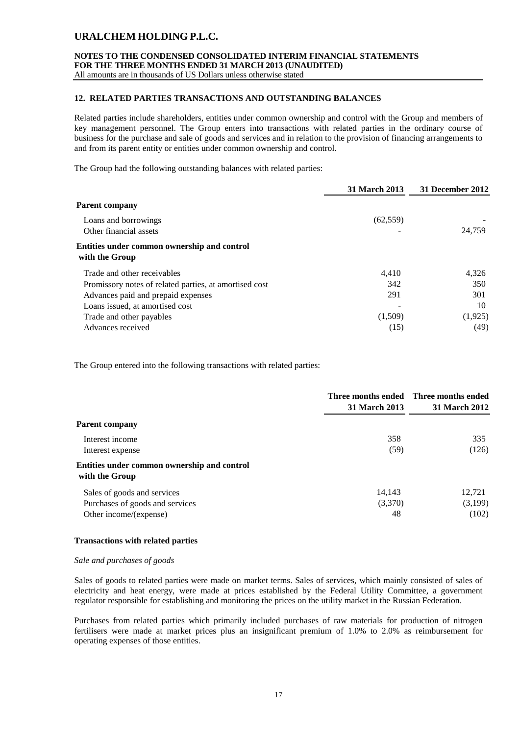# **NOTES TO THE CONDENSED CONSOLIDATED INTERIM FINANCIAL STATEMENTS FOR THE THREE MONTHS ENDED 31 MARCH 2013 (UNAUDITED)**

All amounts are in thousands of US Dollars unless otherwise stated

#### **12. RELATED PARTIES TRANSACTIONS AND OUTSTANDING BALANCES**

Related parties include shareholders, entities under common ownership and control with the Group and members of key management personnel. The Group enters into transactions with related parties in the ordinary course of business for the purchase and sale of goods and services and in relation to the provision of financing arrangements to and from its parent entity or entities under common ownership and control.

The Group had the following outstanding balances with related parties:

|                                                               | <b>31 March 2013</b> | 31 December 2012 |
|---------------------------------------------------------------|----------------------|------------------|
| <b>Parent company</b>                                         |                      |                  |
| Loans and borrowings                                          | (62, 559)            |                  |
| Other financial assets                                        |                      | 24,759           |
| Entities under common ownership and control<br>with the Group |                      |                  |
| Trade and other receivables                                   | 4,410                | 4,326            |
| Promissory notes of related parties, at amortised cost        | 342                  | 350              |
| Advances paid and prepaid expenses                            | 291                  | 301              |
| Loans issued, at amortised cost                               |                      | 10               |
| Trade and other payables                                      | (1,509)              | (1,925)          |
| Advances received                                             | (15)                 | (49)             |

The Group entered into the following transactions with related parties:

|                                                               | <b>31 March 2013</b> | Three months ended Three months ended<br><b>31 March 2012</b> |
|---------------------------------------------------------------|----------------------|---------------------------------------------------------------|
| <b>Parent company</b>                                         |                      |                                                               |
| Interest income                                               | 358                  | 335                                                           |
| Interest expense                                              | (59)                 | (126)                                                         |
| Entities under common ownership and control<br>with the Group |                      |                                                               |
| Sales of goods and services                                   | 14,143               | 12,721                                                        |
| Purchases of goods and services                               | (3,370)              | (3,199)                                                       |
| Other income/(expense)                                        | 48                   | (102)                                                         |

#### **Transactions with related parties**

#### *Sale and purchases of goods*

Sales of goods to related parties were made on market terms. Sales of services, which mainly consisted of sales of electricity and heat energy, were made at prices established by the Federal Utility Committee, a government regulator responsible for establishing and monitoring the prices on the utility market in the Russian Federation.

Purchases from related parties which primarily included purchases of raw materials for production of nitrogen fertilisers were made at market prices plus an insignificant premium of 1.0% to 2.0% as reimbursement for operating expenses of those entities.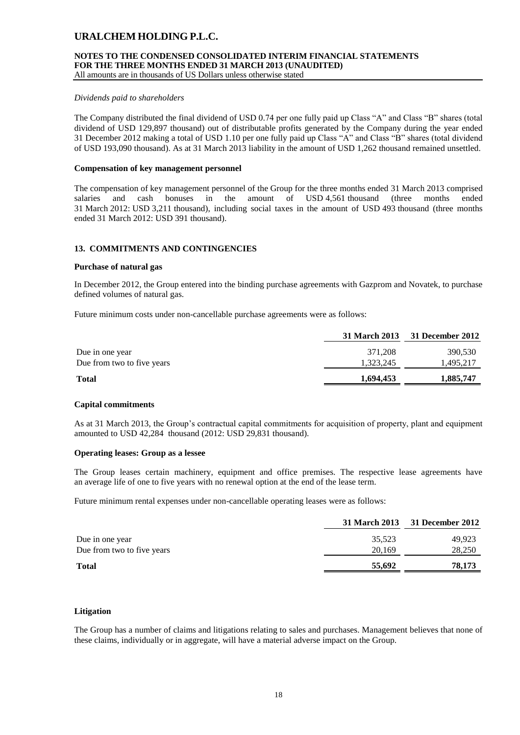# **NOTES TO THE CONDENSED CONSOLIDATED INTERIM FINANCIAL STATEMENTS FOR THE THREE MONTHS ENDED 31 MARCH 2013 (UNAUDITED)**

All amounts are in thousands of US Dollars unless otherwise stated

#### *Dividends paid to shareholders*

The Company distributed the final dividend of USD 0.74 per one fully paid up Class "A" and Class "B" shares (total dividend of USD 129,897 thousand) out of distributable profits generated by the Company during the year ended 31 December 2012 making a total of USD 1.10 per one fully paid up Class "A" and Class "B" shares (total dividend of USD 193,090 thousand). As at 31 March 2013 liability in the amount of USD 1,262 thousand remained unsettled.

#### **Compensation of key management personnel**

The compensation of key management personnel of the Group for the three months ended 31 March 2013 comprised salaries and cash bonuses in the amount of USD 4,561 thousand (three months ended 31 March 2012: USD 3,211 thousand), including social taxes in the amount of USD 493 thousand (three months ended 31 March 2012: USD 391 thousand).

### **13. COMMITMENTS AND CONTINGENCIES**

#### **Purchase of natural gas**

In December 2012, the Group entered into the binding purchase agreements with Gazprom and Novatek, to purchase defined volumes of natural gas.

Future minimum costs under non-cancellable purchase agreements were as follows:

|                            |           | 31 March 2013 31 December 2012 |
|----------------------------|-----------|--------------------------------|
| Due in one year            | 371.208   | 390,530                        |
| Due from two to five years | 1,323,245 | 1,495,217                      |
| <b>Total</b>               | 1,694,453 | 1,885,747                      |

#### **Capital commitments**

As at 31 March 2013, the Group's contractual capital commitments for acquisition of property, plant and equipment amounted to USD 42,284 thousand (2012: USD 29,831 thousand).

#### **Operating leases: Group as a lessee**

The Group leases certain machinery, equipment and office premises. The respective lease agreements have an average life of one to five years with no renewal option at the end of the lease term.

Future minimum rental expenses under non-cancellable operating leases were as follows:

|                            | <b>31 March 2013</b> | 31 December 2012 |
|----------------------------|----------------------|------------------|
| Due in one year            | 35.523               | 49.923           |
| Due from two to five years | 20,169               | 28,250           |
| <b>Total</b>               | 55,692               | 78,173           |

### **Litigation**

The Group has a number of claims and litigations relating to sales and purchases. Management believes that none of these claims, individually or in aggregate, will have a material adverse impact on the Group.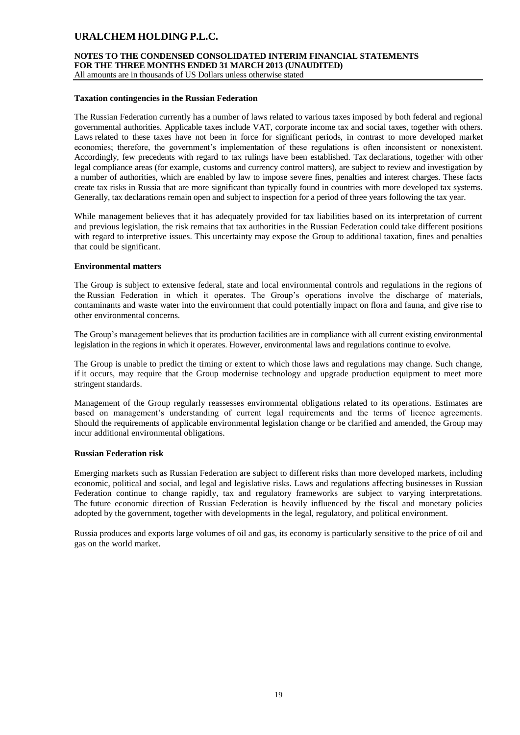# **NOTES TO THE CONDENSED CONSOLIDATED INTERIM FINANCIAL STATEMENTS FOR THE THREE MONTHS ENDED 31 MARCH 2013 (UNAUDITED)**

All amounts are in thousands of US Dollars unless otherwise stated

#### **Taxation contingencies in the Russian Federation**

The Russian Federation currently has a number of laws related to various taxes imposed by both federal and regional governmental authorities. Applicable taxes include VAT, corporate income tax and social taxes, together with others. Laws related to these taxes have not been in force for significant periods, in contrast to more developed market economies; therefore, the government's implementation of these regulations is often inconsistent or nonexistent. Accordingly, few precedents with regard to tax rulings have been established. Tax declarations, together with other legal compliance areas (for example, customs and currency control matters), are subject to review and investigation by a number of authorities, which are enabled by law to impose severe fines, penalties and interest charges. These facts create tax risks in Russia that are more significant than typically found in countries with more developed tax systems. Generally, tax declarations remain open and subject to inspection for a period of three years following the tax year.

While management believes that it has adequately provided for tax liabilities based on its interpretation of current and previous legislation, the risk remains that tax authorities in the Russian Federation could take different positions with regard to interpretive issues. This uncertainty may expose the Group to additional taxation, fines and penalties that could be significant.

#### **Environmental matters**

The Group is subject to extensive federal, state and local environmental controls and regulations in the regions of the Russian Federation in which it operates. The Group's operations involve the discharge of materials, contaminants and waste water into the environment that could potentially impact on flora and fauna, and give rise to other environmental concerns.

The Group's management believes that its production facilities are in compliance with all current existing environmental legislation in the regions in which it operates. However, environmental laws and regulations continue to evolve.

The Group is unable to predict the timing or extent to which those laws and regulations may change. Such change, if it occurs, may require that the Group modernise technology and upgrade production equipment to meet more stringent standards.

Management of the Group regularly reassesses environmental obligations related to its operations. Estimates are based on management's understanding of current legal requirements and the terms of licence agreements. Should the requirements of applicable environmental legislation change or be clarified and amended, the Group may incur additional environmental obligations.

#### **Russian Federation risk**

Emerging markets such as Russian Federation are subject to different risks than more developed markets, including economic, political and social, and legal and legislative risks. Laws and regulations affecting businesses in Russian Federation continue to change rapidly, tax and regulatory frameworks are subject to varying interpretations. The future economic direction of Russian Federation is heavily influenced by the fiscal and monetary policies adopted by the government, together with developments in the legal, regulatory, and political environment.

Russia produces and exports large volumes of oil and gas, its economy is particularly sensitive to the price of oil and gas on the world market.